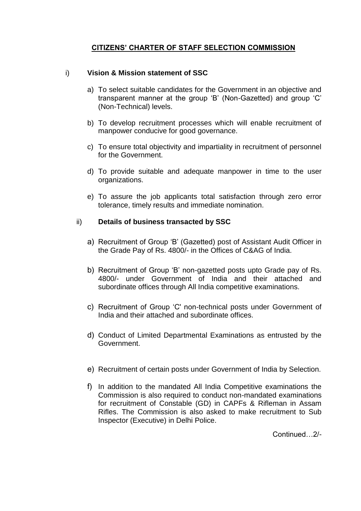# **CITIZENS' CHARTER OF STAFF SELECTION COMMISSION**

# i) **Vision & Mission statement of SSC**

- a) To select suitable candidates for the Government in an objective and transparent manner at the group 'B' (Non-Gazetted) and group 'C' (Non-Technical) levels.
- b) To develop recruitment processes which will enable recruitment of manpower conducive for good governance.
- c) To ensure total objectivity and impartiality in recruitment of personnel for the Government.
- d) To provide suitable and adequate manpower in time to the user organizations.
- e) To assure the job applicants total satisfaction through zero error tolerance, timely results and immediate nomination.

## ii) **Details of business transacted by SSC**

- a) Recruitment of Group 'B' (Gazetted) post of Assistant Audit Officer in the Grade Pay of Rs. 4800/- in the Offices of C&AG of India.
- b) Recruitment of Group 'B' non-gazetted posts upto Grade pay of Rs. 4800/- under Government of India and their attached and subordinate offices through All India competitive examinations.
- c) Recruitment of Group 'C' non-technical posts under Government of India and their attached and subordinate offices.
- d) Conduct of Limited Departmental Examinations as entrusted by the Government.
- e) Recruitment of certain posts under Government of India by Selection.
- f) In addition to the mandated All India Competitive examinations the Commission is also required to conduct non-mandated examinations for recruitment of Constable (GD) in CAPFs & Rifleman in Assam Rifles. The Commission is also asked to make recruitment to Sub Inspector (Executive) in Delhi Police.

Continued…2/-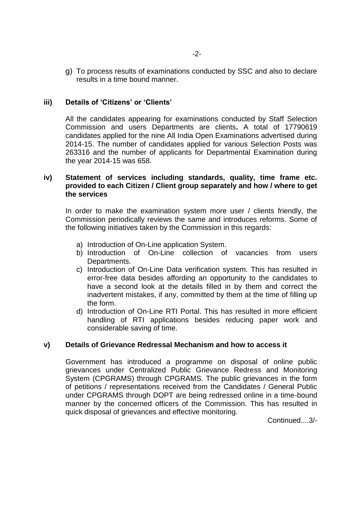g) To process results of examinations conducted by SSC and also to declare results in a time bound manner.

## **iii) Details of 'Citizens' or 'Clients'**

All the candidates appearing for examinations conducted by Staff Selection Commission and users Departments are clients**.** A total of 17790619 candidates applied for the nine All India Open Examinations advertised during 2014-15. The number of candidates applied for various Selection Posts was 263316 and the number of applicants for Departmental Examination during the year 2014-15 was 658.

### **iv) Statement of services including standards, quality, time frame etc. provided to each Citizen / Client group separately and how / where to get the services**

In order to make the examination system more user / clients friendly, the Commission periodically reviews the same and introduces reforms. Some of the following initiatives taken by the Commission in this regards:

- a) Introduction of On-Line application System.
- b) Introduction of On-Line collection of vacancies from users Departments.
- c) Introduction of On-Line Data verification system. This has resulted in error-free data besides affording an opportunity to the candidates to have a second look at the details filled in by them and correct the inadvertent mistakes, if any, committed by them at the time of filling up the form.
- d) Introduction of On-Line RTI Portal. This has resulted in more efficient handling of RTI applications besides reducing paper work and considerable saving of time.

#### **v) Details of Grievance Redressal Mechanism and how to access it**

Government has introduced a programme on disposal of online public grievances under Centralized Public Grievance Redress and Monitoring System (CPGRAMS) through CPGRAMS. The public grievances in the form of petitions / representations received from the Candidates / General Public under CPGRAMS through DOPT are being redressed online in a time-bound manner by the concerned officers of the Commission. This has resulted in quick disposal of grievances and effective monitoring.

Continued....3/-